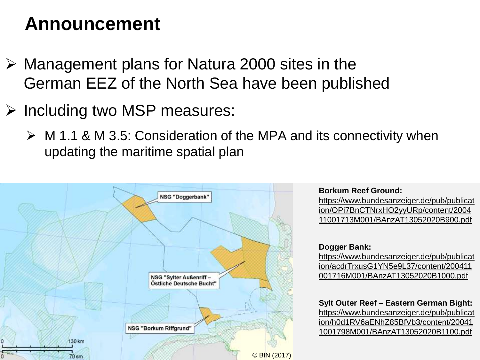### **Announcement**

- ➢ Management plans for Natura 2000 sites in the German EEZ of the North Sea have been published
- ➢ Including two MSP measures:
	- ➢ M 1.1 & M 3.5: Consideration of the MPA and its connectivity when updating the maritime spatial plan



**Borkum Reef Ground:** 

https://www.bundesanzeiger.de/pub/publicat ion/OPi7BnCTNrxHO2yyURp/content/2004 [11001713M001/BAnzAT13052020B900.pdf](https://www.bundesanzeiger.de/pub/publication/OPi7BnCTNrxHO2yyURp/content/200411001713M001/BAnzAT13052020B900.pdf)

**Dogger Bank:** 

https://www.bundesanzeiger.de/pub/publicat [ion/acdrTrxusG1YN5e9L37/content/200411](https://www.bundesanzeiger.de/pub/publication/acdrTrxusG1YN5e9L37/content/200411001716M001/BAnzAT13052020B1000.pdf) 001716M001/BAnzAT13052020B1000.pdf

**Sylt Outer Reef – Eastern German Bight:**  https://www.bundesanzeiger.de/pub/publicat [ion/h0d1RV6aENhZ85BfVb3/content/20041](https://www.bundesanzeiger.de/pub/publication/h0d1RV6aENhZ85BfVb3/content/200411001798M001/BAnzAT13052020B1100.pdf) 1001798M001/BAnzAT13052020B1100.pdf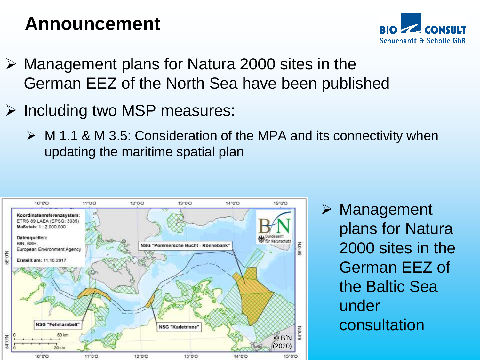### **Announcement**



- ➢ Management plans for Natura 2000 sites in the German EEZ of the North Sea have been published
- ➢ Including two MSP measures:
	- ➢ M 1.1 & M 3.5: Consideration of the MPA and its connectivity when updating the maritime spatial plan



➢ Management plans for Natura 2000 sites in the German EEZ of the Baltic Sea under consultation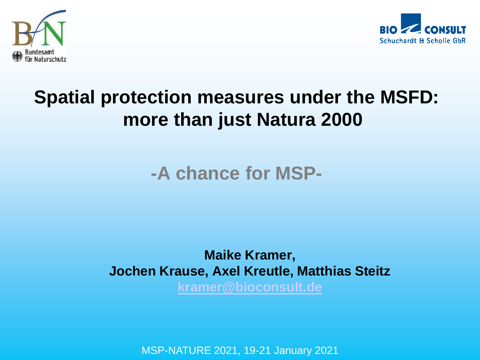



## **Spatial protection measures under the MSFD: more than just Natura 2000**

#### **-A chance for MSP-**

#### **Maike Kramer, Jochen Krause, Axel Kreutle, Matthias Steitz [kramer@bioconsult.de](mailto:kramer@bioconsult.de)**

MSP-NATURE 2021, 19-21 January 2021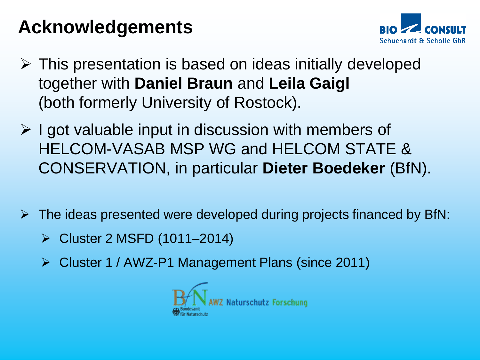## **Acknowledgements**



- ➢ This presentation is based on ideas initially developed together with **Daniel Braun** and **Leila Gaigl** (both formerly University of Rostock).
- ➢ I got valuable input in discussion with members of HELCOM-VASAB MSP WG and HELCOM STATE & CONSERVATION, in particular **Dieter Boedeker** (BfN).
- $\triangleright$  The ideas presented were developed during projects financed by BfN:
	- ➢ Cluster 2 MSFD (1011–2014)
	- ➢ Cluster 1 / AWZ-P1 Management Plans (since 2011)

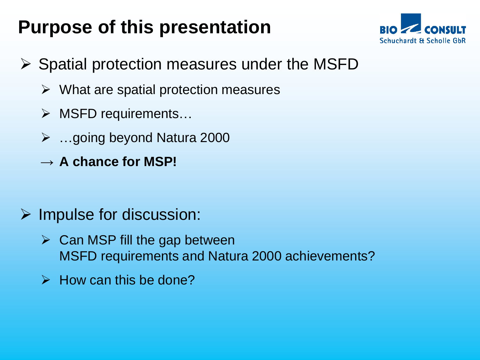## **Purpose of this presentation**



- $\triangleright$  Spatial protection measures under the MSFD
	- ➢ What are spatial protection measures
	- ➢ MSFD requirements…
	- ➢ …going beyond Natura 2000
	- → **A chance for MSP!**
- $\triangleright$  Impulse for discussion:
	- $\triangleright$  Can MSP fill the gap between MSFD requirements and Natura 2000 achievements?
	- $\triangleright$  How can this be done?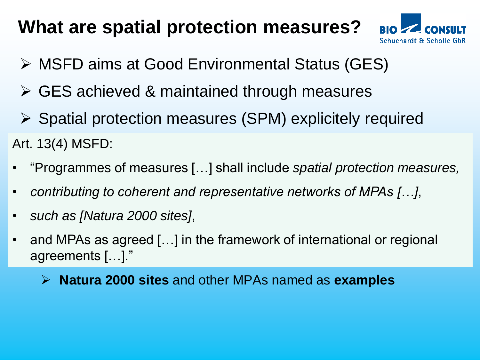### **What are spatial protection measures?**



- ➢ MSFD aims at Good Environmental Status (GES)
- ➢ GES achieved & maintained through measures
- ➢ Spatial protection measures (SPM) explicitely required Art. 13(4) MSFD:
- "Programmes of measures […] shall include *spatial protection measures,*
- *contributing to coherent and representative networks of MPAs […]*,
- *such as [Natura 2000 sites]*,
- and MPAs as agreed […] in the framework of international or regional agreements […]."
	- ➢ **Natura 2000 sites** and other MPAs named as **examples**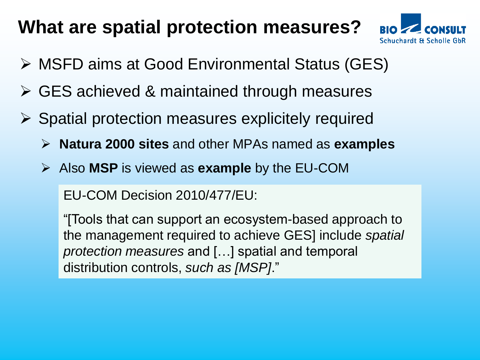#### **What are spatial protection measures?**



- ➢ MSFD aims at Good Environmental Status (GES)
- ➢ GES achieved & maintained through measures
- ➢ Spatial protection measures explicitely required
	- ➢ **Natura 2000 sites** and other MPAs named as **examples**
	- ➢ Also **MSP** is viewed as **example** by the EU-COM

EU-COM Decision 2010/477/EU:

"[Tools that can support an ecosystem-based approach to the management required to achieve GES] include *spatial protection measures* and […] spatial and temporal distribution controls, *such as [MSP]*."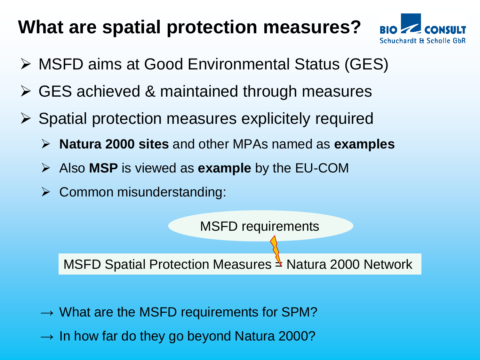### **What are spatial protection measures?**



- ➢ MSFD aims at Good Environmental Status (GES)
- ➢ GES achieved & maintained through measures
- ➢ Spatial protection measures explicitely required
	- ➢ **Natura 2000 sites** and other MPAs named as **examples**
	- ➢ Also **MSP** is viewed as **example** by the EU-COM
	- ➢ Common misunderstanding:



MSFD Spatial Protection Measures  $\triangleq$  Natura 2000 Network

- $\rightarrow$  What are the MSFD requirements for SPM?
- $\rightarrow$  In how far do they go beyond Natura 2000?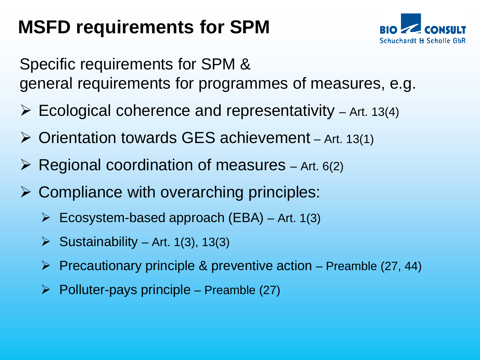# **MSFD requirements for SPM**



Specific requirements for SPM & general requirements for programmes of measures, e.g.

- $\triangleright$  Ecological coherence and representativity Art. 13(4)
- $\triangleright$  Orientation towards GES achievement Art. 13(1)
- $\triangleright$  Regional coordination of measures Art. 6(2)
- $\triangleright$  Compliance with overarching principles:
	- $\triangleright$  Ecosystem-based approach (EBA) Art. 1(3)
	- $\triangleright$  Sustainability Art. 1(3), 13(3)
	- $\triangleright$  Precautionary principle & preventive action Preamble (27, 44)
	- $\triangleright$  Polluter-pays principle Preamble (27)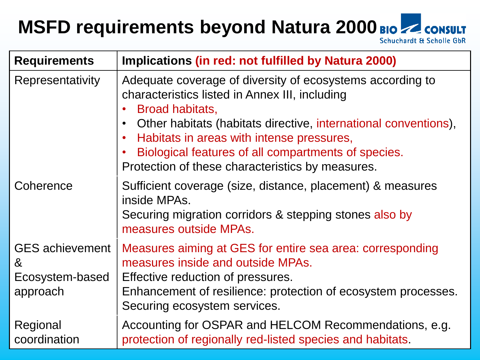#### **MSFD requirements beyond Natura 2000Schuchardt & Scholle GbR**

| <b>Requirements</b>                                        | Implications (in red: not fulfilled by Natura 2000)                                                                                                                                                                                                                                                                                                       |
|------------------------------------------------------------|-----------------------------------------------------------------------------------------------------------------------------------------------------------------------------------------------------------------------------------------------------------------------------------------------------------------------------------------------------------|
| Representativity                                           | Adequate coverage of diversity of ecosystems according to<br>characteristics listed in Annex III, including<br>Broad habitats,<br>Other habitats (habitats directive, international conventions),<br>Habitats in areas with intense pressures,<br>Biological features of all compartments of species.<br>Protection of these characteristics by measures. |
| Coherence                                                  | Sufficient coverage (size, distance, placement) & measures<br>inside MPAs.<br>Securing migration corridors & stepping stones also by<br>measures outside MPAs.                                                                                                                                                                                            |
| <b>GES</b> achievement<br>&<br>Ecosystem-based<br>approach | Measures aiming at GES for entire sea area: corresponding<br>measures inside and outside MPAs.<br>Effective reduction of pressures.<br>Enhancement of resilience: protection of ecosystem processes.<br>Securing ecosystem services.                                                                                                                      |
| Regional<br>coordination                                   | Accounting for OSPAR and HELCOM Recommendations, e.g.<br>protection of regionally red-listed species and habitats.                                                                                                                                                                                                                                        |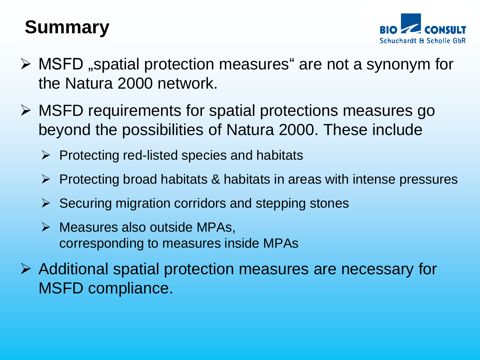# **Summary**



- $\triangleright$  MSFD , spatial protection measures are not a synonym for the Natura 2000 network.
- ➢ MSFD requirements for spatial protections measures go beyond the possibilities of Natura 2000. These include
	- $\triangleright$  Protecting red-listed species and habitats
	- ➢ Protecting broad habitats & habitats in areas with intense pressures
	- $\triangleright$  Securing migration corridors and stepping stones
	- $\triangleright$  Measures also outside MPAs, corresponding to measures inside MPAs
- ➢ Additional spatial protection measures are necessary for MSFD compliance.